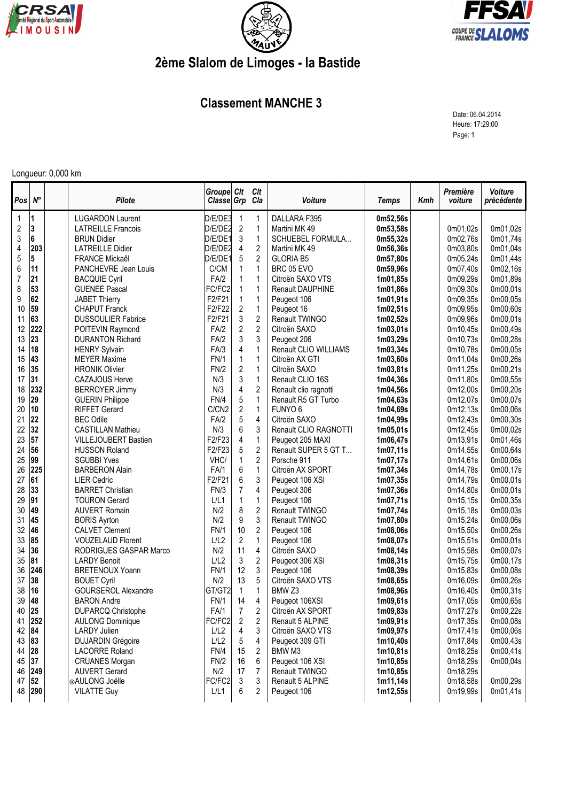





## **2ème Slalom de Limoges - la Bastide**

## **Classement MANCHE 3**

Date: 06.04.2014 Heure: 17:29:00 Page: 1

## Longueur: 0,000 km

| Pos              | $N^{\circ}$ | <b>Pilote</b>                                | Groupe Clt<br>Classe Grp |                       | Clt<br>Cla     | Voiture                               | <b>Temps</b>          | Kmh | Première<br>voiture  | Voiture<br>précédente |
|------------------|-------------|----------------------------------------------|--------------------------|-----------------------|----------------|---------------------------------------|-----------------------|-----|----------------------|-----------------------|
| $\mathbf 1$      | 11          | <b>LUGARDON Laurent</b>                      | D/E/DE3                  | 1                     | 1              | DALLARA F395                          | 0m52,56s              |     |                      |                       |
| $\sqrt{2}$       | 3           | <b>LATREILLE Francois</b>                    | D/E/DE2                  | $\overline{c}$        | 1              | Martini MK 49                         | 0m53,58s              |     | 0m01,02s             | 0m01,02s              |
| $\sqrt{3}$       | 6           | <b>BRUN Didier</b>                           | D/E/DE1                  | 3                     | $\mathbf{1}$   | <b>SCHUEBEL FORMULA</b>               | 0m55,32s              |     | 0m02,76s             | 0m01,74s              |
| $\overline{4}$   | 203         | <b>LATREILLE Didier</b>                      | D/E/DE2                  | 4                     | $\overline{2}$ | Martini MK 49                         | 0m56,36s              |     | 0m03,80s             | 0m01,04s              |
| $\overline{5}$   | 5           | <b>FRANCE Mickaêl</b>                        | D/E/DE1                  | 5                     | $\overline{2}$ | <b>GLORIA B5</b>                      | 0m57,80s              |     | 0m05,24s             | 0m01,44s              |
| $\boldsymbol{6}$ | 11          | PANCHEVRE Jean Louis                         | C/CM                     | $\mathbf{1}$          | 1              | BRC 05 EVO                            | 0m59,96s              |     | 0m07,40s             | 0m02,16s              |
| 7                | 21          | <b>BACQUIE Cyril</b>                         | FA/2                     | $\mathbf{1}$          | 1              | Citroën SAXO VTS                      | 1m01,85s              |     | 0m09,29s             | 0m01,89s              |
| 8                | 53          | <b>GUENEE Pascal</b>                         | FC/FC2                   | $\mathbf{1}$          | 1              | <b>Renault DAUPHINE</b>               | 1m01,86s              |     | 0m09,30s             | 0m00,01s              |
| 9                | 62          | <b>JABET Thierry</b>                         | F2/F21                   | $\mathbf{1}$          | $\mathbf{1}$   | Peugeot 106                           | 1m01,91s              |     | 0m09,35s             | 0m00,05s              |
| 10               | 59          | <b>CHAPUT Franck</b>                         | F2/F22                   | $\boldsymbol{2}$      | 1              | Peugeot 16                            | 1m02,51s              |     | 0m09,95s             | 0m00,60s              |
| 11               | 63          | <b>DUSSOULIER Fabrice</b>                    | F2/F21                   | 3                     | $\overline{2}$ | Renault TWINGO                        | 1m02,52s              |     | 0m09,96s             | 0m00,01s              |
| 12               | 222         | POITEVIN Raymond                             | FA/2                     | $\overline{2}$        | $\overline{2}$ | Citroën SAXO                          | 1 <sub>m</sub> 03,01s |     | 0m10,45s             | 0m00,49s              |
| 13               | 23          | <b>DURANTON Richard</b>                      | FA/2                     | 3                     | 3              | Peugeot 206                           | 1m03,29s              |     | 0m10,73s             | 0m00,28s              |
| 14               | 18          | <b>HENRY Sylvain</b>                         | FA/3                     | 4                     | 1              | Renault CLIO WILLIAMS                 | 1m03,34s              |     | 0m10,78s             | 0m00,05s              |
| 15               | 43          | <b>MEYER Maxime</b>                          | <b>FN/1</b>              | $\mathbf{1}$          | 1              | Citroën AX GTI                        | 1 <sub>m</sub> 03,60s |     | 0m11,04s             | 0m00,26s              |
| 16               | 35          | <b>HRONIK Olivier</b>                        | FN/2                     | 2                     | 1              | Citroën SAXO                          | 1m03,81s              |     | 0m11,25s             | 0m00,21s              |
| 17               | 31          | CAZAJOUS Herve                               | N/3                      | 3                     | 1              | Renault CLIO 16S                      | 1m04,36s              |     | 0m11,80s             | 0m00,55s              |
| 18               | 232         | <b>BERROYER Jimmy</b>                        | N/3                      | 4                     | $\overline{c}$ | Renault clio ragnotti                 | 1m04,56s              |     | 0m12,00s             | 0m00,20s              |
| 19               | 29          | <b>GUERIN Philippe</b>                       | FN/4                     | 5                     | 1              | Renault R5 GT Turbo                   | 1m04,63s              |     | 0m12,07s             | 0m00,07s              |
| 20<br>21         | 10<br>22    | <b>RIFFET Gerard</b>                         | C/CN <sub>2</sub>        | $\boldsymbol{2}$<br>5 | 1<br>4         | FUNYO <sub>6</sub>                    | 1m04,69s              |     | 0m12,13s             | 0m00,06s              |
| 22               | 32          | <b>BEC Odile</b><br><b>CASTILLAN Mathieu</b> | FA/2<br>N/3              | 6                     | 3              | Citroën SAXO<br>Renault CLIO RAGNOTTI | 1m04,99s              |     | 0m12,43s             | 0m00,30s<br>0m00,02s  |
| 23               | 57          | <b>VILLEJOUBERT Bastien</b>                  | F2/F23                   | 4                     | 1              | Peugeot 205 MAXI                      | 1m05,01s<br>1m06,47s  |     | 0m12,45s<br>0m13,91s | 0m01,46s              |
| 24               | 56          | <b>HUSSON Roland</b>                         | F2/F23                   | 5                     | $\mathbf{2}$   | Renault SUPER 5 GT T                  | 1m07,11s              |     | 0m14,55s             | 0m00,64s              |
| 25               | 99          | <b>SGUBBI Yves</b>                           | VHC/                     | $\mathbf{1}$          | $\overline{2}$ | Porsche 911                           | 1m07,17s              |     | 0m14,61s             | 0m00,06s              |
| 26               | 225         | <b>BARBERON Alain</b>                        | FA/1                     | 6                     | 1              | Citroën AX SPORT                      | 1m07,34s              |     | 0m14,78s             | 0m00,17s              |
| 27               | 61          | <b>LIER Cedric</b>                           | F2/F21                   | 6                     | 3              | Peugeot 106 XSI                       | 1m07,35s              |     | 0m14,79s             | 0m00,01s              |
| 28               | 33          | <b>BARRET Christian</b>                      | FN/3                     | $\overline{7}$        | 4              | Peugeot 306                           | 1m07,36s              |     | 0m14,80s             | 0m00,01s              |
| 29               | 91          | <b>TOURON Gerard</b>                         | L/L1                     | 1                     | 1              | Peugeot 106                           | 1m07,71s              |     | 0m15,15s             | 0m00,35s              |
| 30               | 49          | <b>AUVERT Romain</b>                         | N/2                      | 8                     | $\overline{c}$ | Renault TWINGO                        | 1m07,74s              |     | 0m15,18s             | 0m00,03s              |
| 31               | 45          | <b>BORIS Ayrton</b>                          | N/2                      | 9                     | 3              | Renault TWINGO                        | 1m07,80s              |     | 0m15,24s             | 0m00,06s              |
| 32               | 46          | <b>CALVET Clement</b>                        | <b>FN/1</b>              | 10                    | 2              | Peugeot 106                           | 1m08,06s              |     | 0m15,50s             | 0m00,26s              |
| 33               | 85          | <b>VOUZELAUD Florent</b>                     | L/L2                     | 2                     | 1              | Peugeot 106                           | 1m08,07s              |     | 0m15,51s             | 0m00,01s              |
| 34               | 36          | RODRIGUES GASPAR Marco                       | N/2                      | 11                    | 4              | Citroën SAXO                          | 1m08,14s              |     | 0m15,58s             | 0m00,07s              |
| 35               | 81          | <b>LARDY Benoit</b>                          | L/L2                     | 3                     | $\overline{2}$ | Peugeot 306 XSI                       | 1m08,31s              |     | 0m15,75s             | 0m00,17s              |
| 36               | 246         | <b>BRETENOUX Yoann</b>                       | <b>FN/1</b>              | 12                    | 3              | Peugeot 106                           | 1m08,39s              |     | 0m15,83s             | 0m00,08s              |
| 37               | 38          | <b>BOUET Cyril</b>                           | N/2                      | 13                    | 5              | Citroën SAXO VTS                      | 1m08,65s              |     | 0m16,09s             | 0m00,26s              |
| 38               | 16          | <b>GOURSEROL Alexandre</b>                   | GT/GT2                   | $\mathbf{1}$          | 1              | BMW <sub>Z3</sub>                     | 1m08,96s              |     | 0m16,40s             | 0m00,31s              |
| 39               | 48          | <b>BARON Andre</b>                           | <b>FN/1</b>              | 14                    | 4              | Peugeot 106XSI                        | 1m09,61s              |     | 0m17,05s             | 0m00,65s              |
| 40               | 25          | DUPARCQ Christophe                           | FA/1                     | 7                     | 2              | Citroën AX SPORT                      | 1m09,83s              |     | 0m17,27s             | 0m00,22s              |
| 41               | 252         | <b>AULONG Dominique</b>                      | FC/FC2                   | $\overline{c}$        | 2              | Renault 5 ALPINE                      | 1m09,91s              |     | 0m17,35s             | 0m00,08s              |
| 42 84            |             | LARDY Julien                                 | L/L2                     | 4                     | 3              | Citroën SAXO VTS                      | 1m09,97s              |     | 0m17,41s             | 0m00,06s              |
| 43 83            |             | <b>DUJARDIN Grégoire</b>                     | L/L2                     | 5                     | 4              | Peugeot 309 GTI                       | 1m10,40s              |     | 0m17,84s             | 0m00,43s              |
| 44 28            |             | <b>LACORRE Roland</b>                        | FN/4                     | 15                    | 2              | BMW M3                                | 1m10,81s              |     | 0m18,25s             | 0m00,41s              |
| 45               | 37          | <b>CRUANES Morgan</b>                        | FN/2                     | 16                    | 6              | Peugeot 106 XSI                       | 1m10,85s              |     | 0m18,29s             | 0m00,04s              |
| 46               | 249         | <b>AUVERT Gerard</b>                         | N/2                      | 17                    | 7              | Renault TWINGO                        | 1m10,85s              |     | 0m18,29s             |                       |
| 47 $ 52 $        |             | ⊙AULONG Joëlle                               | FC/FC2                   | 3                     | 3              | Renault 5 ALPINE                      | 1m11,14s              |     | 0m18,58s             | 0m00,29s              |
|                  | 48 290      | <b>VILATTE Guy</b>                           | L/L1                     | 6                     | 2              | Peugeot 106                           | 1m12,55s              |     | 0m19,99s             | 0m01,41s              |